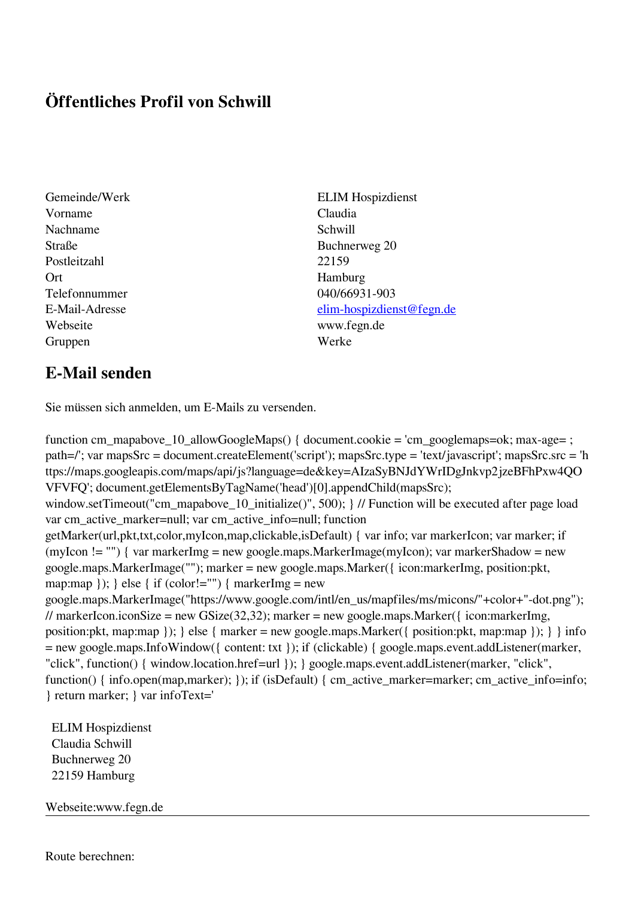## **Öffentliches Profil von Schwill**

- Gemeinde/Werk ELIM Hospizdienst Vorname Claudia Nachname Schwill Straße Buchnerweg 20 Postleitzahl 22159 Ort Hamburg Telefonnummer 040/66931-903 Webseite www.fegn.de Gruppen Werke
- E-Mail-Adresse [elim-hospizdienst@fegn.de](mailto:elim-hospizdienst@fegn.de)

## **E-Mail senden**

Sie müssen sich anmelden, um E-Mails zu versenden.

function cm\_mapabove\_10\_allowGoogleMaps() { document.cookie = 'cm\_googlemaps=ok; max-age= ; path=/'; var mapsSrc = document.createElement('script'); mapsSrc.type = 'text/javascript'; mapsSrc.src = 'h ttps://maps.googleapis.com/maps/api/js?language=de&key=AIzaSyBNJdYWrIDgJnkvp2jzeBFhPxw4QO VFVFQ'; document.getElementsByTagName('head')[0].appendChild(mapsSrc); window.setTimeout("cm\_mapabove\_10\_initialize()", 500); } // Function will be executed after page load var cm\_active\_marker=null; var cm\_active\_info=null; function getMarker(url,pkt,txt,color,myIcon,map,clickable,isDefault) { var info; var markerIcon; var marker; if (myIcon != "") { var markerImg = new google.maps.MarkerImage(myIcon); var markerShadow = new google.maps.MarkerImage(""); marker = new google.maps.Marker({ icon:markerImg, position:pkt, map:map  $\}$ ;  $\}$  else  $\{$  if (color!="")  $\{$  markerImg = new google.maps.MarkerImage("https://www.google.com/intl/en\_us/mapfiles/ms/micons/"+color+"-dot.png"); // markerIcon.iconSize = new GSize(32,32); marker = new google.maps.Marker({ $i$ con:markerImg, position:pkt, map:map }); } else { marker = new google.maps.Marker({ position:pkt, map:map }); } } info = new google.maps.InfoWindow({ content: txt }); if (clickable) { google.maps.event.addListener(marker, "click", function() { window.location.href=url }); } google.maps.event.addListener(marker, "click", function() { info.open(map,marker); }); if (isDefault) { cm\_active\_marker=marker; cm\_active\_info=info; } return marker; } var infoText='

 ELIM Hospizdienst Claudia Schwill Buchnerweg 20 22159 Hamburg

Webseite:www.fegn.de